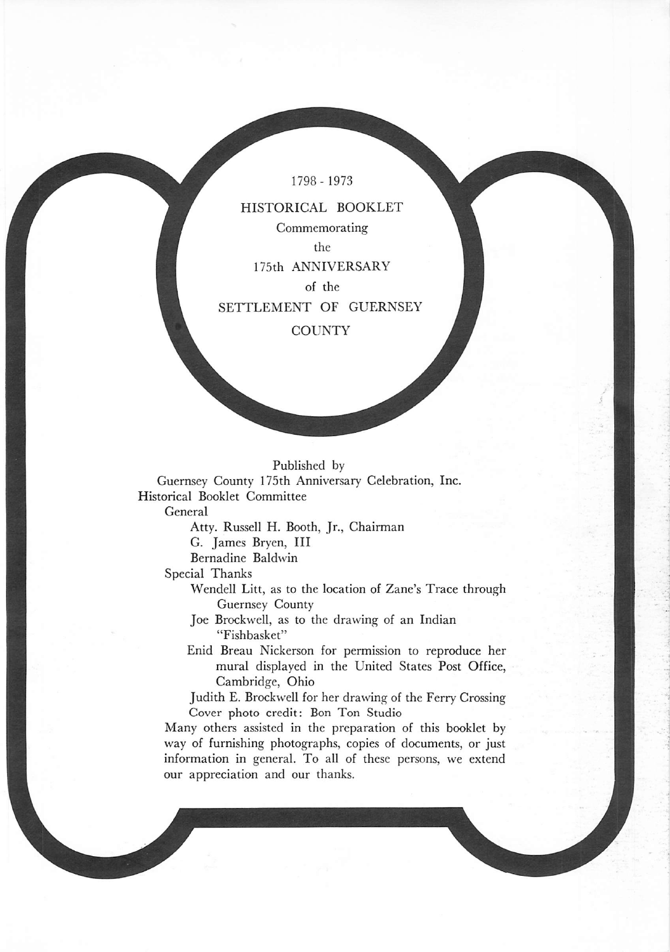1798- 1973

HISTORICAL BOOKLET Commemorating the 175th ANNIVERSARY of the

SETTLEMENT OF GUERNSEY

**COUNTY** 

## Published by

Guernsey County 175th Anniversary Celebration, Inc. Historical Booklet Committee

General

Atty. Russell H. Booth, Jr., Chairman

G. James Bryen, III

Bernadine Baldwin

Special Thanks

Wendell Litt, as to the location of Zane's Trace through Guernsey County

Joe Brockwell, as to the drawing of an Indian "Fishbasket"

Enid Breau Nickerson for permission to reproduce her mural displayed in the United States Post Office, Cambridge, Ohio

Judith E. Brockwell for her drawing of the Ferry Crossing Cover photo credit: Bon Ton Studio

Many others assisted in the preparation of this booklet by way of furnishing photographs, copies of documents, or just information in general. To all of these persons, we extend our appreciation and our thanks.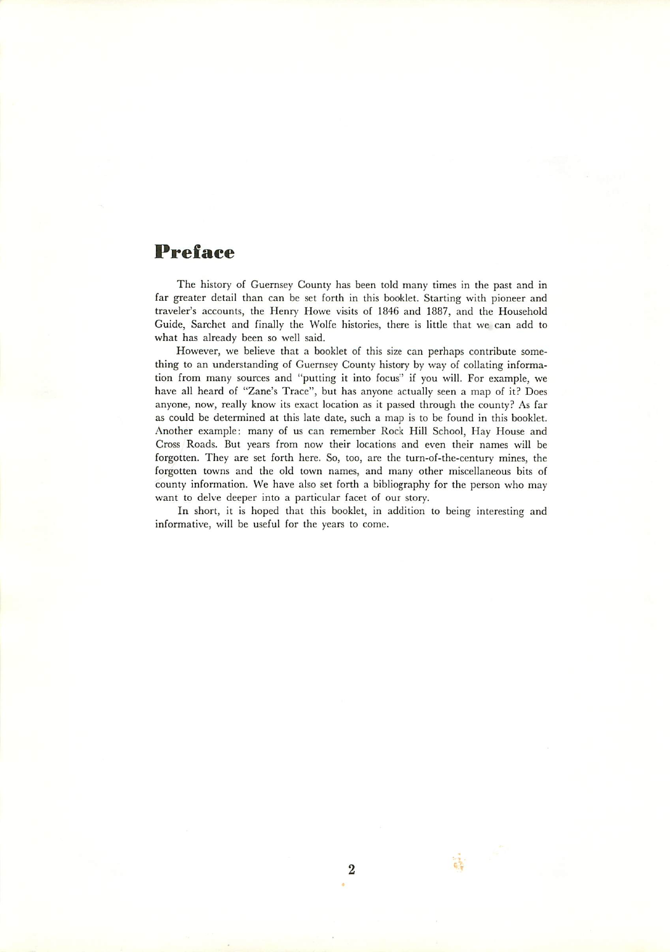## *Preface*

The history of Guernsey County has been told many times in the past and in far greater detail than can be set forth in this booklet. Starting with pioneer and traveler's accounts, the Henry Howe visits of 1846 and 1887, and the Household Guide, Sarchet and finally the Wolfe histories, there is little that we can add to what has already been so well said.

However, we believe that a booklet of this size can perhaps contribute some thing to an understanding of Guernsey County history by way of collating informa tion from many sources and "putting it into focus" if you will. For example, we have all heard of "Zane's Trace", but has anyone actually seen a map of it? Does anyone, now, really know its exact location as it passed through the county? As far as could be determined at this late date, such a map is to be found in this booklet. Another example: many of us can remember Rock Hill School, Hay House and Cross Roads. But years from now their locations and even their names will be forgotten. They are set forth here. So, too, are the turn-of-the-century mines, the forgotten towns and the old town names, and many other miscellaneous bits of county information. We have also set forth a bibliography for the person who may want to delve deeper into a particular facet of our story.

In short, it is hoped that this booklet, in addition to being interesting and informative, will be useful for the years to come.

議